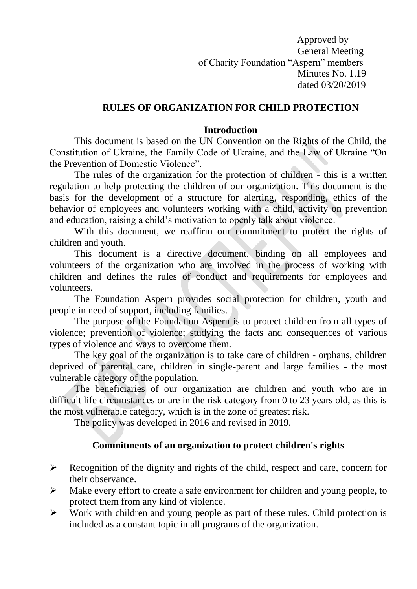Approved by General Meeting of Charity Foundation "Aspern" members Minutes No. 1.19 dated 03/20/2019

#### **RULES OF ORGANIZATION FOR CHILD PROTECTION**

#### **Introduction**

This document is based on the UN Convention on the Rights of the Child, the Constitution of Ukraine, the Family Code of Ukraine, and the Law of Ukraine "On the Prevention of Domestic Violence".

The rules of the organization for the protection of children - this is a written regulation to help protecting the children of our organization. This document is the basis for the development of a structure for alerting, responding, ethics of the behavior of employees and volunteers working with a child, activity on prevention and education, raising a child's motivation to openly talk about violence.

With this document, we reaffirm our commitment to protect the rights of children and youth.

This document is a directive document, binding on all employees and volunteers of the organization who are involved in the process of working with children and defines the rules of conduct and requirements for employees and volunteers.

The Foundation Aspern provides social protection for children, youth and people in need of support, including families.

The purpose of the Foundation Aspern is to protect children from all types of violence; prevention of violence; studying the facts and consequences of various types of violence and ways to overcome them.

The key goal of the organization is to take care of children - orphans, children deprived of parental care, children in single-parent and large families - the most vulnerable category of the population.

The beneficiaries of our organization are children and youth who are in difficult life circumstances or are in the risk category from 0 to 23 years old, as this is the most vulnerable category, which is in the zone of greatest risk.

The policy was developed in 2016 and revised in 2019.

#### **Commitments of an organization to protect children's rights**

- $\triangleright$  Recognition of the dignity and rights of the child, respect and care, concern for their observance.
- $\triangleright$  Make every effort to create a safe environment for children and young people, to protect them from any kind of violence.
- $\triangleright$  Work with children and young people as part of these rules. Child protection is included as a constant topic in all programs of the organization.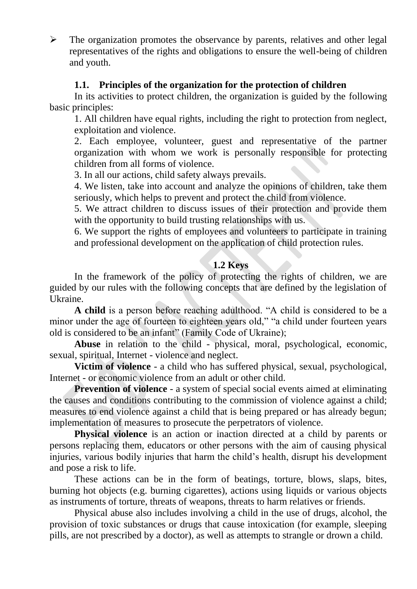$\triangleright$  The organization promotes the observance by parents, relatives and other legal representatives of the rights and obligations to ensure the well-being of children and youth.

## **1.1. Principles of the organization for the protection of children**

In its activities to protect children, the organization is guided by the following basic principles:

1. All children have equal rights, including the right to protection from neglect, exploitation and violence.

2. Each employee, volunteer, guest and representative of the partner organization with whom we work is personally responsible for protecting children from all forms of violence.

3. In all our actions, child safety always prevails.

4. We listen, take into account and analyze the opinions of children, take them seriously, which helps to prevent and protect the child from violence.

5. We attract children to discuss issues of their protection and provide them with the opportunity to build trusting relationships with us.

6. We support the rights of employees and volunteers to participate in training and professional development on the application of child protection rules.

## **1.2 Keys**

In the framework of the policy of protecting the rights of children, we are guided by our rules with the following concepts that are defined by the legislation of Ukraine.

**A child** is a person before reaching adulthood. "A child is considered to be a minor under the age of fourteen to eighteen years old," "a child under fourteen years old is considered to be an infant" (Family Code of Ukraine);

**Abuse** in relation to the child - physical, moral, psychological, economic, sexual, spiritual, Internet - violence and neglect.

**Victim of violence** - a child who has suffered physical, sexual, psychological, Internet - or economic violence from an adult or other child.

**Prevention of violence** - a system of special social events aimed at eliminating the causes and conditions contributing to the commission of violence against a child; measures to end violence against a child that is being prepared or has already begun; implementation of measures to prosecute the perpetrators of violence.

**Physical violence** is an action or inaction directed at a child by parents or persons replacing them, educators or other persons with the aim of causing physical injuries, various bodily injuries that harm the child's health, disrupt his development and pose a risk to life.

These actions can be in the form of beatings, torture, blows, slaps, bites, burning hot objects (e.g. burning cigarettes), actions using liquids or various objects as instruments of torture, threats of weapons, threats to harm relatives or friends.

Physical abuse also includes involving a child in the use of drugs, alcohol, the provision of toxic substances or drugs that cause intoxication (for example, sleeping pills, are not prescribed by a doctor), as well as attempts to strangle or drown a child.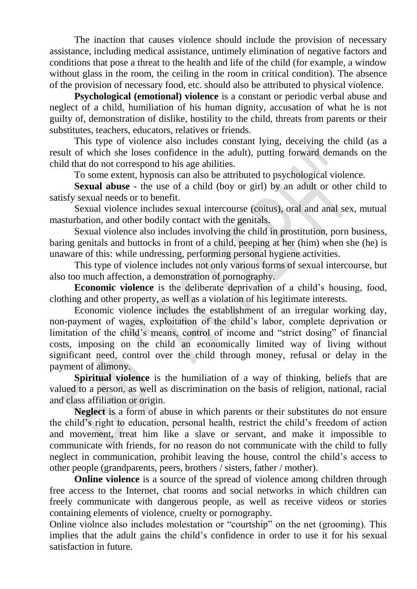The inaction that causes violence should include the provision of necessary assistance, including medical assistance, untimely elimination of negative factors and conditions that pose a threat to the health and life of the child (for example, a window without glass in the room, the ceiling in the room in critical condition). The absence of the provision of necessary food, etc. should also be attributed to physical violence.

**Psychological (emotional) violence** is a constant or periodic verbal abuse and neglect of a child, humiliation of his human dignity, accusation of what he is not guilty of, demonstration of dislike, hostility to the child, threats from parents or their substitutes, teachers, educators, relatives or friends.

This type of violence also includes constant lying, deceiving the child (as a result of which she loses confidence in the adult), putting forward demands on the child that do not correspond to his age abilities.

To some extent, hypnosis can also be attributed to psychological violence.

**Sexual abuse** - the use of a child (boy or girl) by an adult or other child to satisfy sexual needs or to benefit.

Sexual violence includes sexual intercourse (coitus), oral and anal sex, mutual masturbation, and other bodily contact with the genitals.

Sexual violence also includes involving the child in prostitution, porn business, baring genitals and buttocks in front of a child, peeping at her (him) when she (he) is unaware of this: while undressing, performing personal hygiene activities.

This type of violence includes not only various forms of sexual intercourse, but also too much affection, a demonstration of pornography.

**Economic violence** is the deliberate deprivation of a child's housing, food, clothing and other property, as well as a violation of his legitimate interests.

Economic violence includes the establishment of an irregular working day, non-payment of wages, exploitation of the child's labor, complete deprivation or limitation of the child's means, control of income and "strict dosing" of financial costs, imposing on the child an economically limited way of living without significant need, control over the child through money, refusal or delay in the payment of alimony.

**Spiritual violence** is the humiliation of a way of thinking, beliefs that are valued to a person, as well as discrimination on the basis of religion, national, racial and class affiliation or origin.

**Neglect** is a form of abuse in which parents or their substitutes do not ensure the child's right to education, personal health, restrict the child's freedom of action and movement, treat him like a slave or servant, and make it impossible to communicate with friends, for no reason do not communicate with the child to fully neglect in communication, prohibit leaving the house, control the child's access to other people (grandparents, peers, brothers / sisters, father / mother).

**Online violence** is a source of the spread of violence among children through free access to the Internet, chat rooms and social networks in which children can freely communicate with dangerous people, as well as receive videos or stories containing elements of violence, cruelty or pornography.

Online violnce also includes molestation or "courtship" on the net (grooming). This implies that the adult gains the child's confidence in order to use it for his sexual satisfaction in future.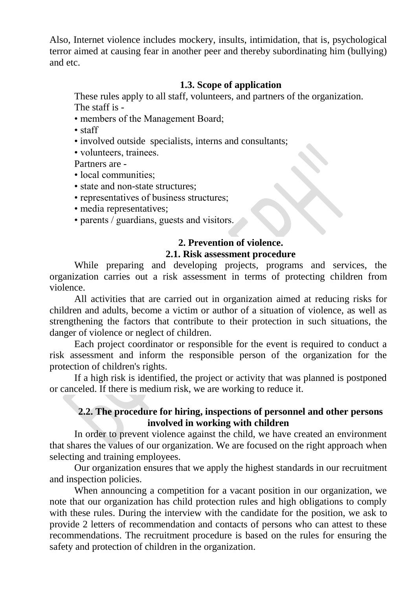Also, Internet violence includes mockery, insults, intimidation, that is, psychological terror aimed at causing fear in another peer and thereby subordinating him (bullying) and etc.

### **1.3. Scope of application**

These rules apply to all staff, volunteers, and partners of the organization. The staff is -

- members of the Management Board;
- staff
- involved outside specialists, interns and consultants;
- volunteers, trainees.

Partners are -

- local communities:
- state and non-state structures;
- representatives of business structures;
- media representatives;
- parents / guardians, guests and visitors.

## **2. Prevention of violence.**

#### **2.1. Risk assessment procedure**

While preparing and developing projects, programs and services, the organization carries out a risk assessment in terms of protecting children from violence.

All activities that are carried out in organization aimed at reducing risks for children and adults, become a victim or author of a situation of violence, as well as strengthening the factors that contribute to their protection in such situations, the danger of violence or neglect of children.

Each project coordinator or responsible for the event is required to conduct a risk assessment and inform the responsible person of the organization for the protection of children's rights.

If a high risk is identified, the project or activity that was planned is postponed or canceled. If there is medium risk, we are working to reduce it.

### **2.2. The procedure for hiring, inspections of personnel and other persons involved in working with children**

In order to prevent violence against the child, we have created an environment that shares the values of our organization. We are focused on the right approach when selecting and training employees.

Our organization ensures that we apply the highest standards in our recruitment and inspection policies.

When announcing a competition for a vacant position in our organization, we note that our organization has child protection rules and high obligations to comply with these rules. During the interview with the candidate for the position, we ask to provide 2 letters of recommendation and contacts of persons who can attest to these recommendations. The recruitment procedure is based on the rules for ensuring the safety and protection of children in the organization.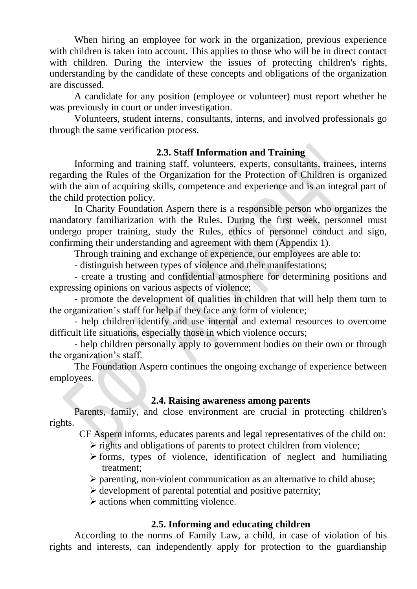When hiring an employee for work in the organization, previous experience with children is taken into account. This applies to those who will be in direct contact with children. During the interview the issues of protecting children's rights, understanding by the candidate of these concepts and obligations of the organization are discussed.

A candidate for any position (employee or volunteer) must report whether he was previously in court or under investigation.

Volunteers, student interns, consultants, interns, and involved professionals go through the same verification process.

### **2.3. Staff Information and Training**

Informing and training staff, volunteers, experts, consultants, trainees, interns regarding the Rules of the Organization for the Protection of Children is organized with the aim of acquiring skills, competence and experience and is an integral part of the child protection policy.

In Charity Foundation Aspern there is a responsible person who organizes the mandatory familiarization with the Rules. During the first week, personnel must undergo proper training, study the Rules, ethics of personnel conduct and sign, confirming their understanding and agreement with them (Appendix 1).

Through training and exchange of experience, our employees are able to:

- distinguish between types of violence and their manifestations;

- create a trusting and confidential atmosphere for determining positions and expressing opinions on various aspects of violence;

- promote the development of qualities in children that will help them turn to the organization's staff for help if they face any form of violence;

- help children identify and use internal and external resources to overcome difficult life situations, especially those in which violence occurs;

- help children personally apply to government bodies on their own or through the organization's staff.

The Foundation Aspern continues the ongoing exchange of experience between employees.

### **2.4. Raising awareness among parents**

Parents, family, and close environment are crucial in protecting children's rights.

CF Aspern informs, educates parents and legal representatives of the child on:

- $\triangleright$  rights and obligations of parents to protect children from violence;
- $\triangleright$  forms, types of violence, identification of neglect and humiliating treatment;
- $\triangleright$  parenting, non-violent communication as an alternative to child abuse;
- $\triangleright$  development of parental potential and positive paternity;
- $\triangleright$  actions when committing violence.

# **2.5. Informing and educating children**

According to the norms of Family Law, a child, in case of violation of his rights and interests, can independently apply for protection to the guardianship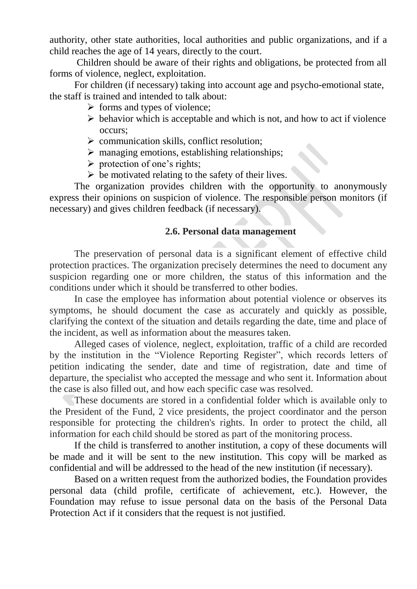authority, other state authorities, local authorities and public organizations, and if a child reaches the age of 14 years, directly to the court.

Children should be aware of their rights and obligations, be protected from all forms of violence, neglect, exploitation.

For children (if necessary) taking into account age and psycho-emotional state, the staff is trained and intended to talk about:

- $\triangleright$  forms and types of violence;
- $\triangleright$  behavior which is acceptable and which is not, and how to act if violence occurs;
- $\triangleright$  communication skills, conflict resolution;
- $\triangleright$  managing emotions, establishing relationships;
- $\triangleright$  protection of one's rights;
- $\triangleright$  be motivated relating to the safety of their lives.

The organization provides children with the opportunity to anonymously express their opinions on suspicion of violence. The responsible person monitors (if necessary) and gives children feedback (if necessary).

#### **2.6. Personal data management**

The preservation of personal data is a significant element of effective child protection practices. The organization precisely determines the need to document any suspicion regarding one or more children, the status of this information and the conditions under which it should be transferred to other bodies.

In case the employee has information about potential violence or observes its symptoms, he should document the case as accurately and quickly as possible, clarifying the context of the situation and details regarding the date, time and place of the incident, as well as information about the measures taken.

Alleged cases of violence, neglect, exploitation, traffic of a child are recorded by the institution in the "Violence Reporting Register", which records letters of petition indicating the sender, date and time of registration, date and time of departure, the specialist who accepted the message and who sent it. Information about the case is also filled out, and how each specific case was resolved.

These documents are stored in a confidential folder which is available only to the President of the Fund, 2 vice presidents, the project coordinator and the person responsible for protecting the children's rights. In order to protect the child, all information for each child should be stored as part of the monitoring process.

If the child is transferred to another institution, a copy of these documents will be made and it will be sent to the new institution. This copy will be marked as confidential and will be addressed to the head of the new institution (if necessary).

Based on a written request from the authorized bodies, the Foundation provides personal data (child profile, certificate of achievement, etc.). However, the Foundation may refuse to issue personal data on the basis of the Personal Data Protection Act if it considers that the request is not justified.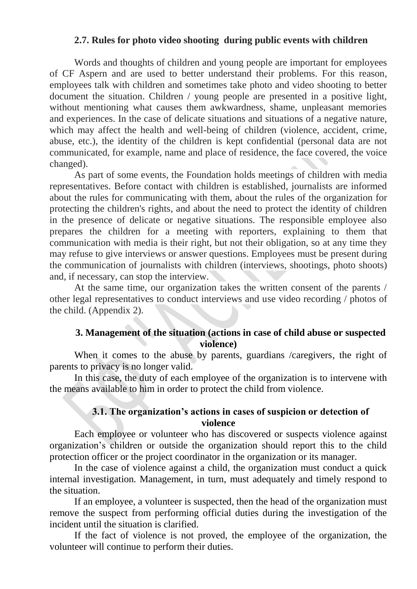#### **2.7. Rules for photo video shooting during public events with children**

Words and thoughts of children and young people are important for employees of CF Aspern and are used to better understand their problems. For this reason, employees talk with children and sometimes take photo and video shooting to better document the situation. Children / young people are presented in a positive light, without mentioning what causes them awkwardness, shame, unpleasant memories and experiences. In the case of delicate situations and situations of a negative nature, which may affect the health and well-being of children (violence, accident, crime, abuse, etc.), the identity of the children is kept confidential (personal data are not communicated, for example, name and place of residence, the face covered, the voice changed).

As part of some events, the Foundation holds meetings of children with media representatives. Before contact with children is established, journalists are informed about the rules for communicating with them, about the rules of the organization for protecting the children's rights, and about the need to protect the identity of children in the presence of delicate or negative situations. The responsible employee also prepares the children for a meeting with reporters, explaining to them that communication with media is their right, but not their obligation, so at any time they may refuse to give interviews or answer questions. Employees must be present during the communication of journalists with children (interviews, shootings, photo shoots) and, if necessary, can stop the interview.

At the same time, our organization takes the written consent of the parents / other legal representatives to conduct interviews and use video recording / photos of the child. (Appendix 2).

### **3. Management of the situation (actions in case of child abuse or suspected violence)**

When it comes to the abuse by parents, guardians /caregivers, the right of parents to privacy is no longer valid.

In this case, the duty of each employee of the organization is to intervene with the means available to him in order to protect the child from violence.

#### **3.1. The organization's actions in cases of suspicion or detection of violence**

Each employee or volunteer who has discovered or suspects violence against organization's children or outside the organization should report this to the child protection officer or the project coordinator in the organization or its manager.

In the case of violence against a child, the organization must conduct a quick internal investigation. Management, in turn, must adequately and timely respond to the situation.

If an employee, a volunteer is suspected, then the head of the organization must remove the suspect from performing official duties during the investigation of the incident until the situation is clarified.

If the fact of violence is not proved, the employee of the organization, the volunteer will continue to perform their duties.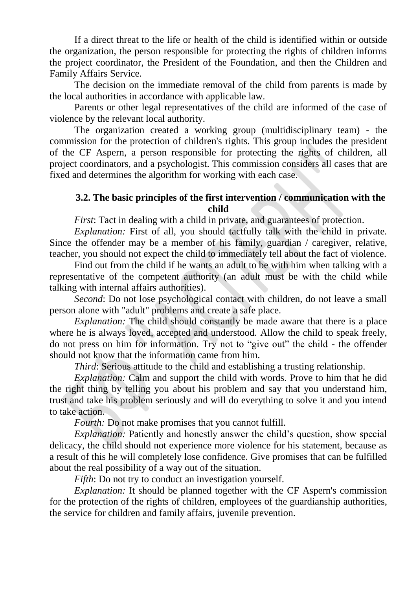If a direct threat to the life or health of the child is identified within or outside the organization, the person responsible for protecting the rights of children informs the project coordinator, the President of the Foundation, and then the Children and Family Affairs Service.

The decision on the immediate removal of the child from parents is made by the local authorities in accordance with applicable law.

Parents or other legal representatives of the child are informed of the case of violence by the relevant local authority.

The organization created a working group (multidisciplinary team) - the commission for the protection of children's rights. This group includes the president of the CF Aspern, a person responsible for protecting the rights of children, all project coordinators, and a psychologist. This commission considers all cases that are fixed and determines the algorithm for working with each case.

### **3.2. The basic principles of the first intervention / communication with the child**

*First*: Tact in dealing with a child in private, and guarantees of protection.

*Explanation:* First of all, you should tactfully talk with the child in private. Since the offender may be a member of his family, guardian / caregiver, relative, teacher, you should not expect the child to immediately tell about the fact of violence.

Find out from the child if he wants an adult to be with him when talking with a representative of the competent authority (an adult must be with the child while talking with internal affairs authorities).

*Second*: Do not lose psychological contact with children, do not leave a small person alone with "adult" problems and create a safe place.

*Explanation:* The child should constantly be made aware that there is a place where he is always loved, accepted and understood. Allow the child to speak freely, do not press on him for information. Try not to "give out" the child - the offender should not know that the information came from him.

*Third*: Serious attitude to the child and establishing a trusting relationship.

*Explanation:* Calm and support the child with words. Prove to him that he did the right thing by telling you about his problem and say that you understand him, trust and take his problem seriously and will do everything to solve it and you intend to take action.

*Fourth:* Do not make promises that you cannot fulfill.

*Explanation:* Patiently and honestly answer the child's question, show special delicacy, the child should not experience more violence for his statement, because as a result of this he will completely lose confidence. Give promises that can be fulfilled about the real possibility of a way out of the situation.

*Fifth*: Do not try to conduct an investigation yourself.

*Explanation:* It should be planned together with the CF Aspern's commission for the protection of the rights of children, employees of the guardianship authorities, the service for children and family affairs, juvenile prevention.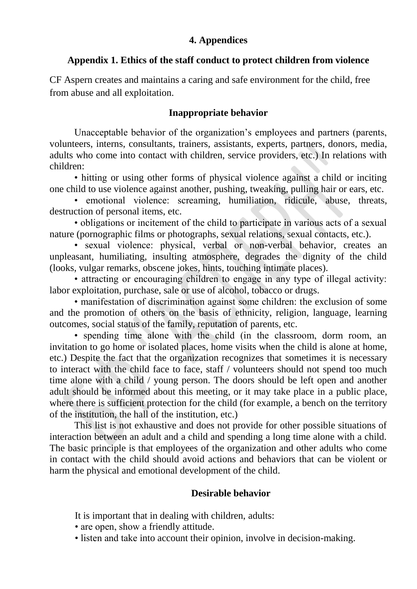### **4. Appendices**

#### **Appendix 1. Ethics of the staff conduct to protect children from violence**

CF Aspern creates and maintains a caring and safe environment for the child, free from abuse and all exploitation.

#### **Inappropriate behavior**

Unacceptable behavior of the organization's employees and partners (parents, volunteers, interns, consultants, trainers, assistants, experts, partners, donors, media, adults who come into contact with children, service providers, etc.) In relations with children:

• hitting or using other forms of physical violence against a child or inciting one child to use violence against another, pushing, tweaking, pulling hair or ears, etc.

• emotional violence: screaming, humiliation, ridicule, abuse, threats, destruction of personal items, etc.

• obligations or incitement of the child to participate in various acts of a sexual nature (pornographic films or photographs, sexual relations, sexual contacts, etc.).

• sexual violence: physical, verbal or non-verbal behavior, creates an unpleasant, humiliating, insulting atmosphere, degrades the dignity of the child (looks, vulgar remarks, obscene jokes, hints, touching intimate places).

• attracting or encouraging children to engage in any type of illegal activity: labor exploitation, purchase, sale or use of alcohol, tobacco or drugs.

• manifestation of discrimination against some children: the exclusion of some and the promotion of others on the basis of ethnicity, religion, language, learning outcomes, social status of the family, reputation of parents, etc.

• spending time alone with the child (in the classroom, dorm room, an invitation to go home or isolated places, home visits when the child is alone at home, etc.) Despite the fact that the organization recognizes that sometimes it is necessary to interact with the child face to face, staff / volunteers should not spend too much time alone with a child / young person. The doors should be left open and another adult should be informed about this meeting, or it may take place in a public place, where there is sufficient protection for the child (for example, a bench on the territory of the institution, the hall of the institution, etc.)

This list is not exhaustive and does not provide for other possible situations of interaction between an adult and a child and spending a long time alone with a child. The basic principle is that employees of the organization and other adults who come in contact with the child should avoid actions and behaviors that can be violent or harm the physical and emotional development of the child.

#### **Desirable behavior**

It is important that in dealing with children, adults:

- are open, show a friendly attitude.
- listen and take into account their opinion, involve in decision-making.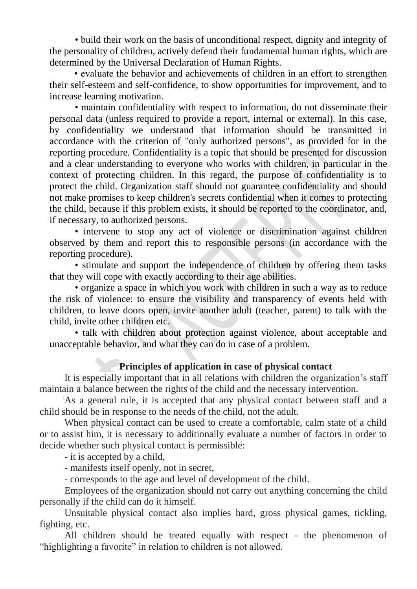• build their work on the basis of unconditional respect, dignity and integrity of the personality of children, actively defend their fundamental human rights, which are determined by the Universal Declaration of Human Rights.

• evaluate the behavior and achievements of children in an effort to strengthen their self-esteem and self-confidence, to show opportunities for improvement, and to increase learning motivation.

• maintain confidentiality with respect to information, do not disseminate their personal data (unless required to provide a report, internal or external). In this case, by confidentiality we understand that information should be transmitted in accordance with the criterion of "only authorized persons", as provided for in the reporting procedure. Confidentiality is a topic that should be presented for discussion and a clear understanding to everyone who works with children, in particular in the context of protecting children. In this regard, the purpose of confidentiality is to protect the child. Organization staff should not guarantee confidentiality and should not make promises to keep children's secrets confidential when it comes to protecting the child, because if this problem exists, it should be reported to the coordinator, and, if necessary, to authorized persons.

• intervene to stop any act of violence or discrimination against children observed by them and report this to responsible persons (in accordance with the reporting procedure).

• stimulate and support the independence of children by offering them tasks that they will cope with exactly according to their age abilities.

• organize a space in which you work with children in such a way as to reduce the risk of violence: to ensure the visibility and transparency of events held with children, to leave doors open, invite another adult (teacher, parent) to talk with the child, invite other children etc.

• talk with children about protection against violence, about acceptable and unacceptable behavior, and what they can do in case of a problem.

### **Principles of application in case of physical contact**

It is especially important that in all relations with children the organization's staff maintain a balance between the rights of the child and the necessary intervention.

As a general rule, it is accepted that any physical contact between staff and a child should be in response to the needs of the child, not the adult.

When physical contact can be used to create a comfortable, calm state of a child or to assist him, it is necessary to additionally evaluate a number of factors in order to decide whether such physical contact is permissible:

- it is accepted by a child,

- manifests itself openly, not in secret,

- corresponds to the age and level of development of the child.

Employees of the organization should not carry out anything concerning the child personally if the child can do it himself.

Unsuitable physical contact also implies hard, gross physical games, tickling, fighting, etc.

All children should be treated equally with respect - the phenomenon of "highlighting a favorite" in relation to children is not allowed.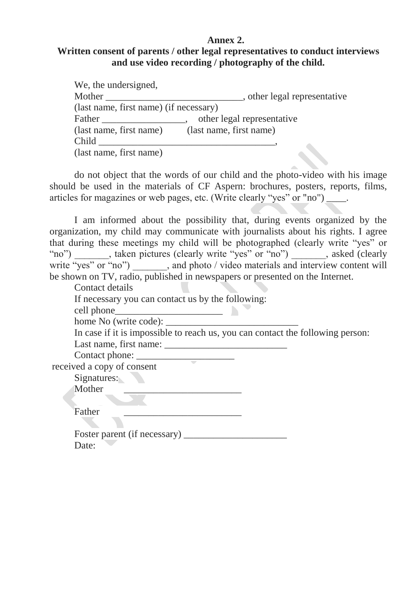#### **Annex 2.**

## **Written consent of parents / other legal representatives to conduct interviews and use video recording / photography of the child.**

| We, the undersigned,                   |                              |
|----------------------------------------|------------------------------|
| Mother                                 | , other legal representative |
| (last name, first name) (if necessary) |                              |
| Father                                 | other legal representative   |
| (last name, first name)                | (last name, first name)      |
| Child                                  |                              |
| (last name, first name)                |                              |

do not object that the words of our child and the photo-video with his image should be used in the materials of CF Aspern: brochures, posters, reports, films, articles for magazines or web pages, etc. (Write clearly "yes" or "no")  $\qquad \qquad$ .

I am informed about the possibility that, during events organized by the organization, my child may communicate with journalists about his rights. I agree that during these meetings my child will be photographed (clearly write "yes" or "no") \_\_\_\_\_\_, taken pictures (clearly write "yes" or "no") \_\_\_\_\_\_, asked (clearly write "yes" or "no") \_\_\_\_\_\_, and photo / video materials and interview content will be shown on TV, radio, published in newspapers or presented on the Internet.

Contact details

If necessary you can contact us by the following:

cell phone

home No (write code): \_\_\_\_\_\_\_\_\_\_\_\_\_\_\_\_\_\_\_\_\_\_\_\_\_\_\_

In case if it is impossible to reach us, you can contact the following person: Last name, first name:

Contact phone: \_\_\_\_\_\_\_\_\_\_\_\_\_\_\_\_\_\_\_\_

received a copy of consent

Signatures:

Mother

Father \_\_\_\_\_\_\_\_\_\_\_\_\_\_\_\_\_\_\_\_\_\_\_\_

Foster parent (if necessary) \_\_\_\_\_\_\_\_\_\_\_\_\_\_\_\_\_\_\_\_\_ Date: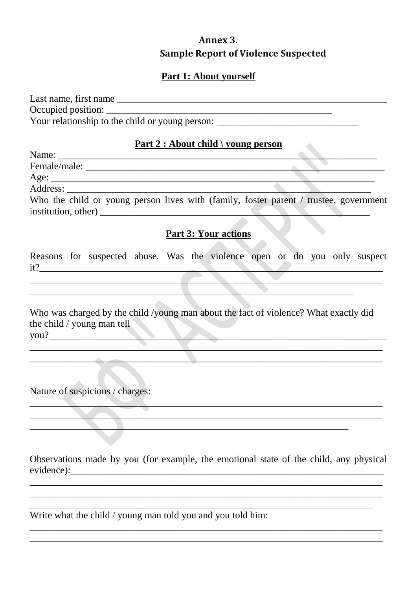# Annex 3. **Sample Report of Violence Suspected**

 $\bullet$  .

# Part 1: About yourself

| Last name, first name                           |  |
|-------------------------------------------------|--|
| Occupied position:                              |  |
| Your relationship to the child or young person: |  |

#### Part 2 : About child  $\overline{\ }$  young person

| Female/male: |                                                                                       |
|--------------|---------------------------------------------------------------------------------------|
|              |                                                                                       |
|              |                                                                                       |
|              | Who the child or young person lives with (family, foster parent / trustee, government |
|              |                                                                                       |

#### **Part 3: Your actions**

Reasons for suspected abuse. Was the violence open or do you only suspect  $it?$ 

Who was charged by the child /young man about the fact of violence? What exactly did the child / young man tell<br>you?

Nature of suspicions / charges:

Observations made by you (for example, the emotional state of the child, any physical 

<u> 1989 - Johann John Harry, mars ar yw i ganwys y cynnwys y cynnwys y cynnwys y cynnwys y cynnwys y cynnwys y c</u>

Write what the child / young man told you and you told him: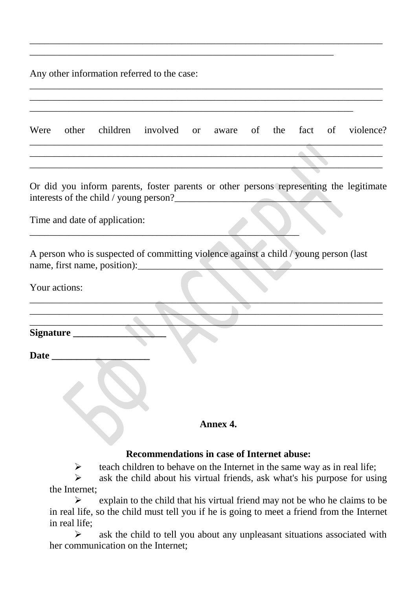Any other information referred to the case:

| Were          |                     |                               | other children involved or aware of the fact of violence?                                                                        |          |  |  |  |
|---------------|---------------------|-------------------------------|----------------------------------------------------------------------------------------------------------------------------------|----------|--|--|--|
|               |                     |                               |                                                                                                                                  |          |  |  |  |
|               |                     |                               |                                                                                                                                  |          |  |  |  |
|               |                     |                               | Or did you inform parents, foster parents or other persons representing the legitimate<br>interests of the child / young person? |          |  |  |  |
|               |                     | Time and date of application: |                                                                                                                                  |          |  |  |  |
|               |                     | name, first name, position):_ | A person who is suspected of committing violence against a child / young person (last                                            |          |  |  |  |
| Your actions: |                     |                               |                                                                                                                                  |          |  |  |  |
|               |                     |                               |                                                                                                                                  |          |  |  |  |
|               | Signature _________ |                               |                                                                                                                                  |          |  |  |  |
| Date_         |                     |                               |                                                                                                                                  |          |  |  |  |
|               |                     |                               |                                                                                                                                  | Annex 4. |  |  |  |
|               |                     |                               | <b>Recommendations in case of Internet abuse:</b>                                                                                |          |  |  |  |
|               | ➤                   |                               | teach children to behave on the Internet in the same way as in real life;                                                        |          |  |  |  |

 $\_$  , and the contribution of the contribution of the contribution of the contribution of the contribution of  $\sim$ 

\_\_\_\_\_\_\_\_\_\_\_\_\_\_\_\_\_\_\_\_\_\_\_\_\_\_\_\_\_\_\_\_\_\_\_\_\_\_\_\_\_\_\_\_\_\_\_\_\_\_\_\_\_\_\_\_\_\_\_\_\_\_

 $\triangleright$  ask the child about his virtual friends, ask what's his purpose for using the Internet;

 $\triangleright$  explain to the child that his virtual friend may not be who he claims to be in real life, so the child must tell you if he is going to meet a friend from the Internet in real life;

 $\triangleright$  ask the child to tell you about any unpleasant situations associated with her communication on the Internet;